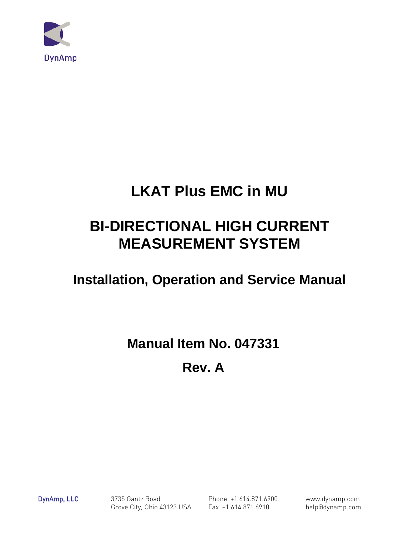

# **LKAT Plus EMC in MU**

# **BI-DIRECTIONAL HIGH CURRENT MEASUREMENT SYSTEM**

# **Installation, Operation and Service Manual**

# **Manual Item No. 047331**

# **Rev. A**

DynAmp, LLC 3735 Gantz Road Phone +1 614.871.6900 www.dynamp.com Grove City, Ohio 43123 USA Fax +1 614.871.6910 help@dynamp.com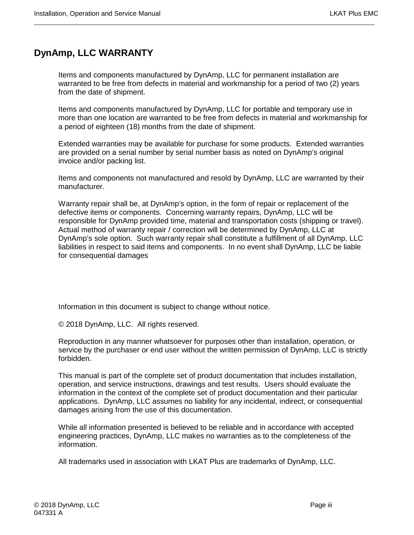# <span id="page-2-0"></span>**DynAmp, LLC WARRANTY**

Items and components manufactured by DynAmp, LLC for permanent installation are warranted to be free from defects in material and workmanship for a period of two (2) years from the date of shipment.

Items and components manufactured by DynAmp, LLC for portable and temporary use in more than one location are warranted to be free from defects in material and workmanship for a period of eighteen (18) months from the date of shipment.

Extended warranties may be available for purchase for some products. Extended warranties are provided on a serial number by serial number basis as noted on DynAmp's original invoice and/or packing list.

Items and components not manufactured and resold by DynAmp, LLC are warranted by their manufacturer.

Warranty repair shall be, at DynAmp's option, in the form of repair or replacement of the defective items or components. Concerning warranty repairs, DynAmp, LLC will be responsible for DynAmp provided time, material and transportation costs (shipping or travel). Actual method of warranty repair / correction will be determined by DynAmp, LLC at DynAmp's sole option. Such warranty repair shall constitute a fulfillment of all DynAmp, LLC liabilities in respect to said items and components. In no event shall DynAmp, LLC be liable for consequential damages

Information in this document is subject to change without notice.

© 2018 DynAmp, LLC. All rights reserved.

Reproduction in any manner whatsoever for purposes other than installation, operation, or service by the purchaser or end user without the written permission of DynAmp, LLC is strictly forbidden.

This manual is part of the complete set of product documentation that includes installation, operation, and service instructions, drawings and test results. Users should evaluate the information in the context of the complete set of product documentation and their particular applications. DynAmp, LLC assumes no liability for any incidental, indirect, or consequential damages arising from the use of this documentation.

While all information presented is believed to be reliable and in accordance with accepted engineering practices, DynAmp, LLC makes no warranties as to the completeness of the information.

All trademarks used in association with LKAT Plus are trademarks of DynAmp, LLC.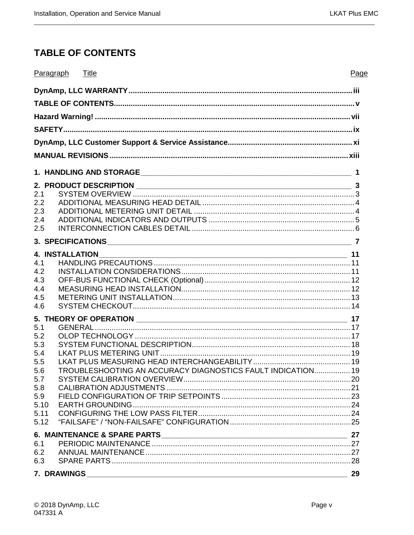# <span id="page-4-0"></span>**TABLE OF CONTENTS**

|             | Paragraph Title |                                                             | Page |
|-------------|-----------------|-------------------------------------------------------------|------|
|             |                 |                                                             |      |
|             |                 |                                                             |      |
|             |                 |                                                             |      |
|             |                 |                                                             |      |
|             |                 |                                                             |      |
|             |                 |                                                             |      |
|             |                 |                                                             |      |
|             |                 |                                                             |      |
|             |                 |                                                             |      |
| 2.1<br>2.2  |                 |                                                             |      |
| 2.3         |                 |                                                             |      |
| 2.4         |                 |                                                             |      |
| 2.5         |                 |                                                             |      |
|             |                 |                                                             |      |
|             |                 |                                                             |      |
|             |                 |                                                             |      |
| 4.2         |                 |                                                             |      |
| 4.3         |                 |                                                             |      |
| 4.4         |                 |                                                             |      |
| 4.5         |                 |                                                             |      |
| 4.6         |                 |                                                             |      |
|             |                 |                                                             |      |
| 5.1         |                 |                                                             |      |
| 5.2         |                 |                                                             |      |
| 5.3         |                 |                                                             |      |
| 5.4         |                 |                                                             |      |
| 5.5         |                 |                                                             |      |
| 5.6         |                 | TROUBLESHOOTING AN ACCURACY DIAGNOSTICS FAULT INDICATION 19 |      |
| 5.7         |                 |                                                             |      |
| 5.8         |                 |                                                             |      |
| 5.9<br>5.10 |                 |                                                             |      |
| 5.11        |                 |                                                             |      |
| 5.12        |                 |                                                             |      |
|             |                 |                                                             |      |
| 6.1         |                 |                                                             |      |
| 6.2         |                 |                                                             |      |
| 6.3         |                 |                                                             |      |
|             | 7. DRAWINGS     |                                                             | 29   |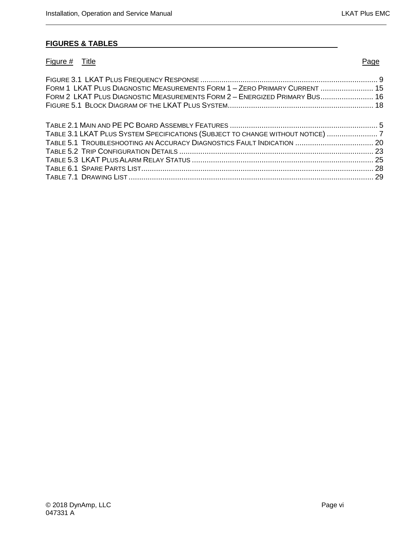#### **FIGURES & TABLES**

| Figure # Title                                                                  | Page |
|---------------------------------------------------------------------------------|------|
|                                                                                 |      |
| FORM 1 LKAT PLUS DIAGNOSTIC MEASUREMENTS FORM 1 - ZERO PRIMARY CURRENT  15      |      |
| FORM 2 LKAT PLUS DIAGNOSTIC MEASUREMENTS FORM 2 - ENERGIZED PRIMARY BUS 16      |      |
|                                                                                 |      |
|                                                                                 |      |
| TABLE 3.1 LKAT PLUS SYSTEM SPECIFICATIONS (SUBJECT TO CHANGE WITHOUT NOTICE)  7 |      |
|                                                                                 |      |
|                                                                                 |      |
|                                                                                 |      |
|                                                                                 |      |
|                                                                                 |      |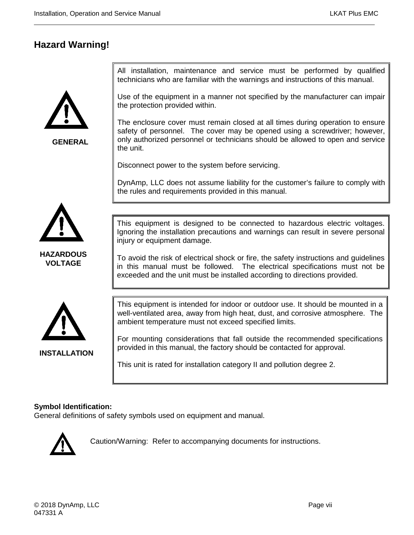# <span id="page-6-0"></span>**Hazard Warning!**



**GENERAL**

All installation, maintenance and service must be performed by qualified technicians who are familiar with the warnings and instructions of this manual.

Use of the equipment in a manner not specified by the manufacturer can impair the protection provided within.

The enclosure cover must remain closed at all times during operation to ensure safety of personnel. The cover may be opened using a screwdriver; however, only authorized personnel or technicians should be allowed to open and service the unit.

Disconnect power to the system before servicing.

DynAmp, LLC does not assume liability for the customer's failure to comply with the rules and requirements provided in this manual.



**HAZARDOUS VOLTAGE**

This equipment is designed to be connected to hazardous electric voltages. Ignoring the installation precautions and warnings can result in severe personal injury or equipment damage.

To avoid the risk of electrical shock or fire, the safety instructions and guidelines in this manual must be followed. The electrical specifications must not be exceeded and the unit must be installed according to directions provided.



**INSTALLATION**

This equipment is intended for indoor or outdoor use. It should be mounted in a well-ventilated area, away from high heat, dust, and corrosive atmosphere. The ambient temperature must not exceed specified limits.

For mounting considerations that fall outside the recommended specifications provided in this manual, the factory should be contacted for approval.

This unit is rated for installation category II and pollution degree 2.

#### **Symbol Identification:**

General definitions of safety symbols used on equipment and manual.



Caution/Warning: Refer to accompanying documents for instructions.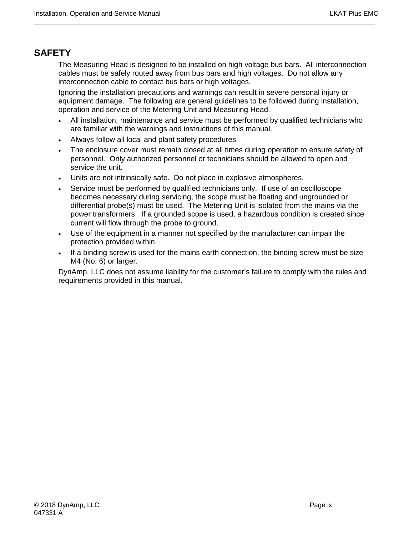# <span id="page-8-0"></span>**SAFETY**

The Measuring Head is designed to be installed on high voltage bus bars. All interconnection cables must be safely routed away from bus bars and high voltages. Do not allow any interconnection cable to contact bus bars or high voltages.

Ignoring the installation precautions and warnings can result in severe personal injury or equipment damage. The following are general guidelines to be followed during installation, operation and service of the Metering Unit and Measuring Head.

- All installation, maintenance and service must be performed by qualified technicians who are familiar with the warnings and instructions of this manual.
- Always follow all local and plant safety procedures.
- The enclosure cover must remain closed at all times during operation to ensure safety of personnel. Only authorized personnel or technicians should be allowed to open and service the unit.
- Units are not intrinsically safe. Do not place in explosive atmospheres.
- Service must be performed by qualified technicians only. If use of an oscilloscope becomes necessary during servicing, the scope must be floating and ungrounded or differential probe(s) must be used. The Metering Unit is isolated from the mains via the power transformers. If a grounded scope is used, a hazardous condition is created since current will flow through the probe to ground.
- Use of the equipment in a manner not specified by the manufacturer can impair the protection provided within.
- If a binding screw is used for the mains earth connection, the binding screw must be size M4 (No. 6) or larger.

DynAmp, LLC does not assume liability for the customer's failure to comply with the rules and requirements provided in this manual.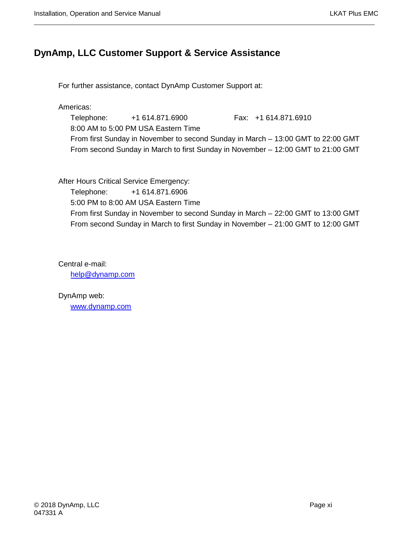# <span id="page-10-0"></span>**DynAmp, LLC Customer Support & Service Assistance**

For further assistance, contact DynAmp Customer Support at:

Americas:

Telephone: +1 614.871.6900 Fax: +1 614.871.6910 8:00 AM to 5:00 PM USA Eastern Time From first Sunday in November to second Sunday in March – 13:00 GMT to 22:00 GMT From second Sunday in March to first Sunday in November – 12:00 GMT to 21:00 GMT

After Hours Critical Service Emergency:

Telephone: +1 614.871.6906 5:00 PM to 8:00 AM USA Eastern Time From first Sunday in November to second Sunday in March – 22:00 GMT to 13:00 GMT From second Sunday in March to first Sunday in November – 21:00 GMT to 12:00 GMT

Central e-mail: [help@dynamp.com](mailto:help@dynamp.com)

DynAmp web: [www.dynamp.com](http://www.dynamp.com/)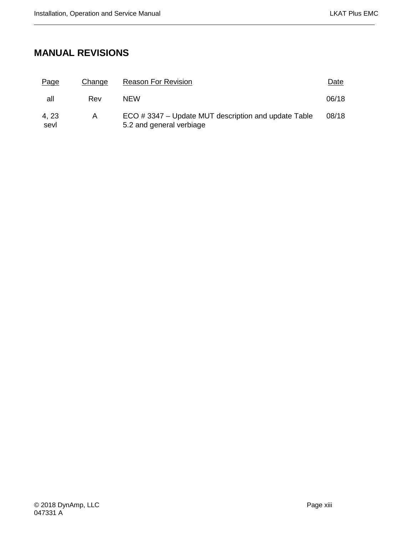# <span id="page-12-0"></span>**MANUAL REVISIONS**

| Page          | Change | <b>Reason For Revision</b>                                                      | Date  |
|---------------|--------|---------------------------------------------------------------------------------|-------|
| all           | Rev    | NFW                                                                             | 06/18 |
| 4, 23<br>sevl | A      | ECO #3347 - Update MUT description and update Table<br>5.2 and general verbiage | 08/18 |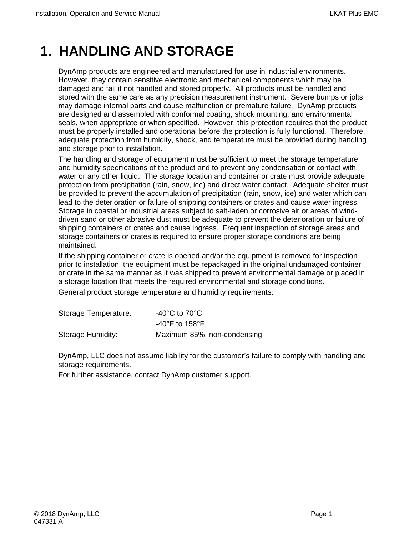# <span id="page-14-0"></span>**1. HANDLING AND STORAGE**

DynAmp products are engineered and manufactured for use in industrial environments. However, they contain sensitive electronic and mechanical components which may be damaged and fail if not handled and stored properly. All products must be handled and stored with the same care as any precision measurement instrument. Severe bumps or jolts may damage internal parts and cause malfunction or premature failure. DynAmp products are designed and assembled with conformal coating, shock mounting, and environmental seals, when appropriate or when specified. However, this protection requires that the product must be properly installed and operational before the protection is fully functional. Therefore, adequate protection from humidity, shock, and temperature must be provided during handling and storage prior to installation.

The handling and storage of equipment must be sufficient to meet the storage temperature and humidity specifications of the product and to prevent any condensation or contact with water or any other liquid. The storage location and container or crate must provide adequate protection from precipitation (rain, snow, ice) and direct water contact. Adequate shelter must be provided to prevent the accumulation of precipitation (rain, snow, ice) and water which can lead to the deterioration or failure of shipping containers or crates and cause water ingress. Storage in coastal or industrial areas subject to salt-laden or corrosive air or areas of winddriven sand or other abrasive dust must be adequate to prevent the deterioration or failure of shipping containers or crates and cause ingress. Frequent inspection of storage areas and storage containers or crates is required to ensure proper storage conditions are being maintained.

If the shipping container or crate is opened and/or the equipment is removed for inspection prior to installation, the equipment must be repackaged in the original undamaged container or crate in the same manner as it was shipped to prevent environmental damage or placed in a storage location that meets the required environmental and storage conditions.

General product storage temperature and humidity requirements:

| Storage Temperature: | -40 $^{\circ}$ C to 70 $^{\circ}$ C |
|----------------------|-------------------------------------|
|                      | $-40^{\circ}$ F to 158 $^{\circ}$ F |
| Storage Humidity:    | Maximum 85%, non-condensing         |

DynAmp, LLC does not assume liability for the customer's failure to comply with handling and storage requirements.

For further assistance, contact DynAmp customer support.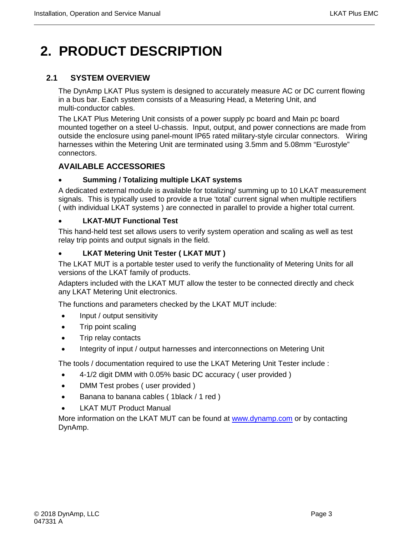# <span id="page-16-0"></span>**2. PRODUCT DESCRIPTION**

## <span id="page-16-1"></span>**2.1 SYSTEM OVERVIEW**

The DynAmp LKAT Plus system is designed to accurately measure AC or DC current flowing in a bus bar. Each system consists of a Measuring Head, a Metering Unit, and multi-conductor cables.

The LKAT Plus Metering Unit consists of a power supply pc board and Main pc board mounted together on a steel U-chassis. Input, output, and power connections are made from outside the enclosure using panel-mount IP65 rated military-style circular connectors. Wiring harnesses within the Metering Unit are terminated using 3.5mm and 5.08mm "Eurostyle" connectors.

## **AVAILABLE ACCESSORIES**

#### • **Summing / Totalizing multiple LKAT systems**

A dedicated external module is available for totalizing/ summing up to 10 LKAT measurement signals. This is typically used to provide a true 'total' current signal when multiple rectifiers ( with individual LKAT systems ) are connected in parallel to provide a higher total current.

#### • **LKAT-MUT Functional Test**

This hand-held test set allows users to verify system operation and scaling as well as test relay trip points and output signals in the field.

#### • **LKAT Metering Unit Tester ( LKAT MUT )**

The LKAT MUT is a portable tester used to verify the functionality of Metering Units for all versions of the LKAT family of products.

Adapters included with the LKAT MUT allow the tester to be connected directly and check any LKAT Metering Unit electronics.

The functions and parameters checked by the LKAT MUT include:

- Input / output sensitivity
- Trip point scaling
- Trip relay contacts
- Integrity of input / output harnesses and interconnections on Metering Unit

The tools / documentation required to use the LKAT Metering Unit Tester include :

- 4-1/2 digit DMM with 0.05% basic DC accuracy ( user provided )
- DMM Test probes ( user provided )
- Banana to banana cables (1black / 1 red )
- **LKAT MUT Product Manual**

More information on the LKAT MUT can be found at [www.dynamp.com](http://www.dynamp.com/) or by contacting DynAmp.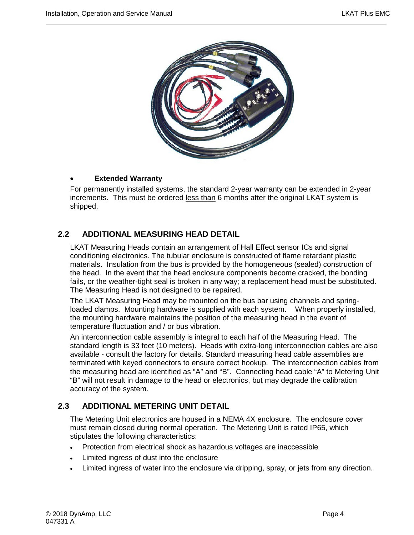

#### • **Extended Warranty**

For permanently installed systems, the standard 2-year warranty can be extended in 2-year increments. This must be ordered less than 6 months after the original LKAT system is shipped.

## <span id="page-17-0"></span>**2.2 ADDITIONAL MEASURING HEAD DETAIL**

LKAT Measuring Heads contain an arrangement of Hall Effect sensor ICs and signal conditioning electronics. The tubular enclosure is constructed of flame retardant plastic materials. Insulation from the bus is provided by the homogeneous (sealed) construction of the head. In the event that the head enclosure components become cracked, the bonding fails, or the weather-tight seal is broken in any way; a replacement head must be substituted. The Measuring Head is not designed to be repaired.

The LKAT Measuring Head may be mounted on the bus bar using channels and springloaded clamps. Mounting hardware is supplied with each system. When properly installed, the mounting hardware maintains the position of the measuring head in the event of temperature fluctuation and / or bus vibration.

An interconnection cable assembly is integral to each half of the Measuring Head. The standard length is 33 feet (10 meters). Heads with extra-long interconnection cables are also available - consult the factory for details. Standard measuring head cable assemblies are terminated with keyed connectors to ensure correct hookup. The interconnection cables from the measuring head are identified as "A" and "B". Connecting head cable "A" to Metering Unit "B" will not result in damage to the head or electronics, but may degrade the calibration accuracy of the system.

### <span id="page-17-1"></span>**2.3 ADDITIONAL METERING UNIT DETAIL**

The Metering Unit electronics are housed in a NEMA 4X enclosure. The enclosure cover must remain closed during normal operation. The Metering Unit is rated IP65, which stipulates the following characteristics:

- Protection from electrical shock as hazardous voltages are inaccessible
- Limited ingress of dust into the enclosure
- Limited ingress of water into the enclosure via dripping, spray, or jets from any direction.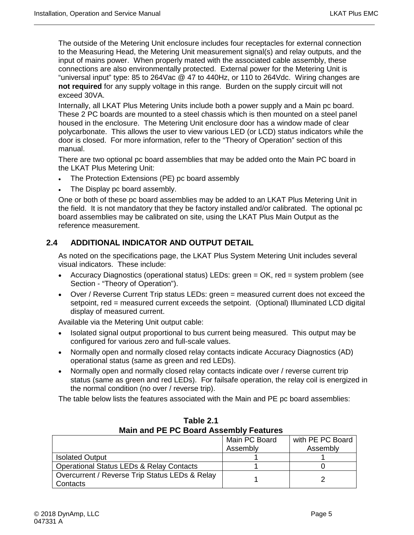The outside of the Metering Unit enclosure includes four receptacles for external connection to the Measuring Head, the Metering Unit measurement signal(s) and relay outputs, and the input of mains power. When properly mated with the associated cable assembly, these connections are also environmentally protected. External power for the Metering Unit is "universal input" type: 85 to 264Vac @ 47 to 440Hz, or 110 to 264Vdc. Wiring changes are **not required** for any supply voltage in this range. Burden on the supply circuit will not exceed 30VA.

Internally, all LKAT Plus Metering Units include both a power supply and a Main pc board. These 2 PC boards are mounted to a steel chassis which is then mounted on a steel panel housed in the enclosure. The Metering Unit enclosure door has a window made of clear polycarbonate. This allows the user to view various LED (or LCD) status indicators while the door is closed. For more information, refer to the "Theory of Operation" section of this manual.

There are two optional pc board assemblies that may be added onto the Main PC board in the LKAT Plus Metering Unit:

- The Protection Extensions (PE) pc board assembly
- The Display pc board assembly.

One or both of these pc board assemblies may be added to an LKAT Plus Metering Unit in the field. It is not mandatory that they be factory installed and/or calibrated. The optional pc board assemblies may be calibrated on site, using the LKAT Plus Main Output as the reference measurement.

#### <span id="page-18-0"></span>**2.4 ADDITIONAL INDICATOR AND OUTPUT DETAIL**

As noted on the specifications page, the LKAT Plus System Metering Unit includes several visual indicators. These include:

- Accuracy Diagnostics (operational status) LEDs: green = OK, red = system problem (see Section - "Theory of Operation").
- Over / Reverse Current Trip status LEDs: green = measured current does not exceed the setpoint, red = measured current exceeds the setpoint. (Optional) Illuminated LCD digital display of measured current.

Available via the Metering Unit output cable:

- Isolated signal output proportional to bus current being measured. This output may be configured for various zero and full-scale values.
- Normally open and normally closed relay contacts indicate Accuracy Diagnostics (AD) operational status (same as green and red LEDs).
- Normally open and normally closed relay contacts indicate over / reverse current trip status (same as green and red LEDs). For failsafe operation, the relay coil is energized in the normal condition (no over / reverse trip).

The table below lists the features associated with the Main and PE pc board assemblies:

<span id="page-18-1"></span>

| Main and PE PC Board Assembly Features              |               |                  |  |  |  |  |
|-----------------------------------------------------|---------------|------------------|--|--|--|--|
|                                                     | Main PC Board | with PE PC Board |  |  |  |  |
|                                                     | Assembly      | Assembly         |  |  |  |  |
| <b>Isolated Output</b>                              |               |                  |  |  |  |  |
| <b>Operational Status LEDs &amp; Relay Contacts</b> |               |                  |  |  |  |  |
| Overcurrent / Reverse Trip Status LEDs & Relay      |               |                  |  |  |  |  |
| Contacts                                            |               |                  |  |  |  |  |

**Table 2.1 Main and PE PC Board Assembly Features**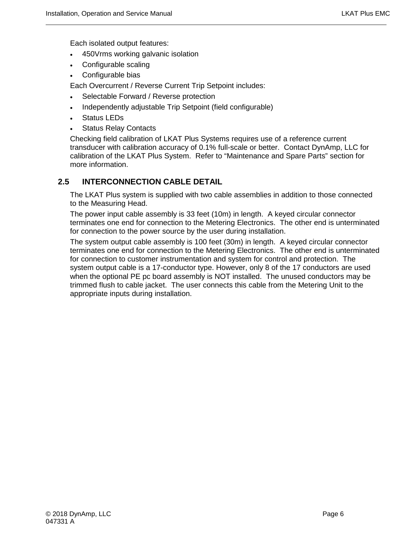Each isolated output features:

- 450Vrms working galvanic isolation
- Configurable scaling
- Configurable bias

Each Overcurrent / Reverse Current Trip Setpoint includes:

- Selectable Forward / Reverse protection
- Independently adjustable Trip Setpoint (field configurable)
- Status LEDs
- **Status Relay Contacts**

Checking field calibration of LKAT Plus Systems requires use of a reference current transducer with calibration accuracy of 0.1% full-scale or better. Contact DynAmp, LLC for calibration of the LKAT Plus System. Refer to "Maintenance and Spare Parts" section for more information.

#### <span id="page-19-0"></span>**2.5 INTERCONNECTION CABLE DETAIL**

The LKAT Plus system is supplied with two cable assemblies in addition to those connected to the Measuring Head.

The power input cable assembly is 33 feet (10m) in length. A keyed circular connector terminates one end for connection to the Metering Electronics. The other end is unterminated for connection to the power source by the user during installation.

The system output cable assembly is 100 feet (30m) in length. A keyed circular connector terminates one end for connection to the Metering Electronics. The other end is unterminated for connection to customer instrumentation and system for control and protection. The system output cable is a 17-conductor type. However, only 8 of the 17 conductors are used when the optional PE pc board assembly is NOT installed. The unused conductors may be trimmed flush to cable jacket. The user connects this cable from the Metering Unit to the appropriate inputs during installation.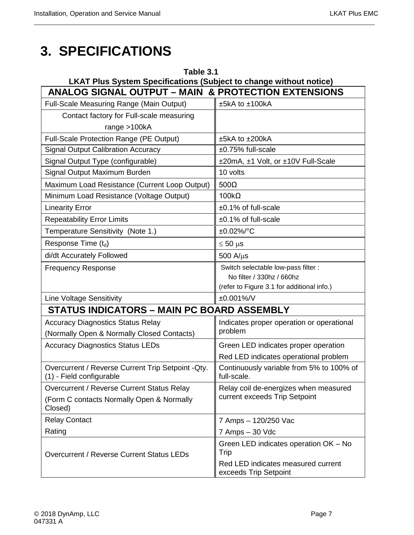# <span id="page-20-0"></span>**3. SPECIFICATIONS**

<span id="page-20-1"></span>

| Table 3.1<br><b>LKAT Plus System Specifications (Subject to change without notice)</b> |                                                             |  |  |  |  |  |
|----------------------------------------------------------------------------------------|-------------------------------------------------------------|--|--|--|--|--|
| <b>ANALOG SIGNAL OUTPUT - MAIN &amp; PROTECTION EXTENSIONS</b>                         |                                                             |  |  |  |  |  |
| Full-Scale Measuring Range (Main Output)                                               | ±5kA to ±100kA                                              |  |  |  |  |  |
| Contact factory for Full-scale measuring                                               |                                                             |  |  |  |  |  |
| range $>100kA$                                                                         |                                                             |  |  |  |  |  |
| Full-Scale Protection Range (PE Output)                                                | ±5kA to ±200kA                                              |  |  |  |  |  |
| <b>Signal Output Calibration Accuracy</b>                                              | ±0.75% full-scale                                           |  |  |  |  |  |
| Signal Output Type (configurable)                                                      | ±20mA, ±1 Volt, or ±10V Full-Scale                          |  |  |  |  |  |
| Signal Output Maximum Burden                                                           | 10 volts                                                    |  |  |  |  |  |
| Maximum Load Resistance (Current Loop Output)                                          | $500\Omega$                                                 |  |  |  |  |  |
| Minimum Load Resistance (Voltage Output)                                               | $100k\Omega$                                                |  |  |  |  |  |
| <b>Linearity Error</b>                                                                 | $±0.1\%$ of full-scale                                      |  |  |  |  |  |
| <b>Repeatability Error Limits</b>                                                      | $±0.1\%$ of full-scale                                      |  |  |  |  |  |
| Temperature Sensitivity (Note 1.)                                                      | ±0.02%/°C                                                   |  |  |  |  |  |
| Response Time $(t_d)$                                                                  | $\leq 50$ µs                                                |  |  |  |  |  |
| di/dt Accurately Followed                                                              | $500$ A/ $\mu$ s                                            |  |  |  |  |  |
| <b>Frequency Response</b>                                                              | Switch selectable low-pass filter :                         |  |  |  |  |  |
|                                                                                        | No filter / 330hz / 660hz                                   |  |  |  |  |  |
|                                                                                        | (refer to Figure 3.1 for additional info.)                  |  |  |  |  |  |
| <b>Line Voltage Sensitivity</b>                                                        | ±0.001%/V                                                   |  |  |  |  |  |
| <b>STATUS INDICATORS - MAIN PC BOARD ASSEMBLY</b>                                      |                                                             |  |  |  |  |  |
| <b>Accuracy Diagnostics Status Relay</b>                                               | Indicates proper operation or operational                   |  |  |  |  |  |
| (Normally Open & Normally Closed Contacts)                                             | problem                                                     |  |  |  |  |  |
| <b>Accuracy Diagnostics Status LEDs</b>                                                | Green LED indicates proper operation                        |  |  |  |  |  |
|                                                                                        | Red LED indicates operational problem                       |  |  |  |  |  |
| Overcurrent / Reverse Current Trip Setpoint - Qty.<br>(1) - Field configurable         | Continuously variable from 5% to 100% of<br>full-scale.     |  |  |  |  |  |
| Overcurrent / Reverse Current Status Relay                                             | Relay coil de-energizes when measured                       |  |  |  |  |  |
| (Form C contacts Normally Open & Normally<br>Closed)                                   | current exceeds Trip Setpoint                               |  |  |  |  |  |
| <b>Relay Contact</b>                                                                   | 7 Amps - 120/250 Vac                                        |  |  |  |  |  |
| Rating                                                                                 | 7 Amps - 30 Vdc                                             |  |  |  |  |  |
| Overcurrent / Reverse Current Status LEDs                                              | Green LED indicates operation OK - No<br>Trip               |  |  |  |  |  |
|                                                                                        | Red LED indicates measured current<br>exceeds Trip Setpoint |  |  |  |  |  |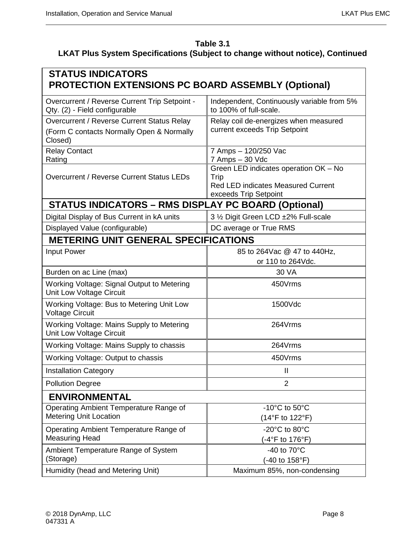## **Table 3.1 LKAT Plus System Specifications (Subject to change without notice), Continued**

| <b>STATUS INDICATORS</b><br><b>PROTECTION EXTENSIONS PC BOARD ASSEMBLY (Optional)</b>              |                                                                                                                     |
|----------------------------------------------------------------------------------------------------|---------------------------------------------------------------------------------------------------------------------|
| Overcurrent / Reverse Current Trip Setpoint -<br>Qty. (2) - Field configurable                     | Independent, Continuously variable from 5%<br>to 100% of full-scale.                                                |
| Overcurrent / Reverse Current Status Relay<br>(Form C contacts Normally Open & Normally<br>Closed) | Relay coil de-energizes when measured<br>current exceeds Trip Setpoint                                              |
| <b>Relay Contact</b><br>Rating                                                                     | 7 Amps - 120/250 Vac<br>7 Amps - 30 Vdc                                                                             |
| Overcurrent / Reverse Current Status LEDs                                                          | Green LED indicates operation OK - No<br>Trip<br><b>Red LED indicates Measured Current</b><br>exceeds Trip Setpoint |
| <b>STATUS INDICATORS - RMS DISPLAY PC BOARD (Optional)</b>                                         |                                                                                                                     |
| Digital Display of Bus Current in kA units                                                         | 3 1/2 Digit Green LCD ±2% Full-scale                                                                                |
| Displayed Value (configurable)                                                                     | DC average or True RMS                                                                                              |
| <b>METERING UNIT GENERAL SPECIFICATIONS</b>                                                        |                                                                                                                     |
| Input Power                                                                                        | 85 to 264 Vac @ 47 to 440 Hz,                                                                                       |
|                                                                                                    | or 110 to 264Vdc.                                                                                                   |
| Burden on ac Line (max)                                                                            | 30 VA                                                                                                               |
| Working Voltage: Signal Output to Metering<br>Unit Low Voltage Circuit                             | 450Vrms                                                                                                             |
| Working Voltage: Bus to Metering Unit Low<br><b>Voltage Circuit</b>                                | 1500Vdc                                                                                                             |
| Working Voltage: Mains Supply to Metering<br>Unit Low Voltage Circuit                              | 264Vrms                                                                                                             |
| Working Voltage: Mains Supply to chassis                                                           | 264Vrms                                                                                                             |
| Working Voltage: Output to chassis                                                                 | 450Vrms                                                                                                             |
| <b>Installation Category</b>                                                                       | Ш                                                                                                                   |
| <b>Pollution Degree</b>                                                                            | $\overline{2}$                                                                                                      |
| <b>ENVIRONMENTAL</b>                                                                               |                                                                                                                     |
| Operating Ambient Temperature Range of                                                             | -10 $^{\circ}$ C to 50 $^{\circ}$ C                                                                                 |
| <b>Metering Unit Location</b>                                                                      | (14°F to 122°F)                                                                                                     |
| Operating Ambient Temperature Range of<br><b>Measuring Head</b>                                    | -20 $^{\circ}$ C to 80 $^{\circ}$ C<br>(-4°F to 176°F)                                                              |
| Ambient Temperature Range of System                                                                | -40 to $70^{\circ}$ C                                                                                               |
| (Storage)                                                                                          | (-40 to 158°F)                                                                                                      |
| Humidity (head and Metering Unit)                                                                  | Maximum 85%, non-condensing                                                                                         |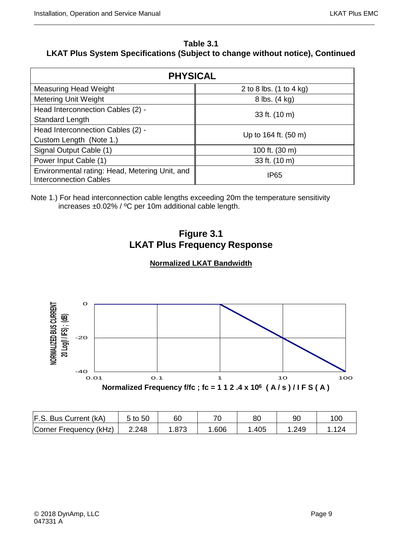#### **Table 3.1 LKAT Plus System Specifications (Subject to change without notice), Continued**

| <b>PHYSICAL</b>                                                                 |                           |  |  |  |  |  |
|---------------------------------------------------------------------------------|---------------------------|--|--|--|--|--|
| <b>Measuring Head Weight</b>                                                    | 2 to 8 lbs. $(1 to 4 kg)$ |  |  |  |  |  |
| <b>Metering Unit Weight</b>                                                     | 8 lbs. (4 kg)             |  |  |  |  |  |
| Head Interconnection Cables (2) -<br>Standard Length                            | 33 ft. (10 m)             |  |  |  |  |  |
| Head Interconnection Cables (2) -<br>Custom Length (Note 1.)                    | Up to 164 ft. (50 m)      |  |  |  |  |  |
| Signal Output Cable (1)                                                         | 100 ft. (30 m)            |  |  |  |  |  |
| Power Input Cable (1)                                                           | 33 ft. (10 m)             |  |  |  |  |  |
| Environmental rating: Head, Metering Unit, and<br><b>Interconnection Cables</b> | IP <sub>65</sub>          |  |  |  |  |  |

<span id="page-22-0"></span>Note 1.) For head interconnection cable lengths exceeding 20m the temperature sensitivity increases ±0.02% / ºC per 10m additional cable length.



## **Normalized LKAT Bandwidth**



| F.S. Bus Current (kA)  | 5 to 50 | 60   | 71   | 80    |      | 10C               |
|------------------------|---------|------|------|-------|------|-------------------|
| Corner Frequency (kHz) | 2.248   | .873 | .606 | . 405 | .249 | $\Delta$ $\Omega$ |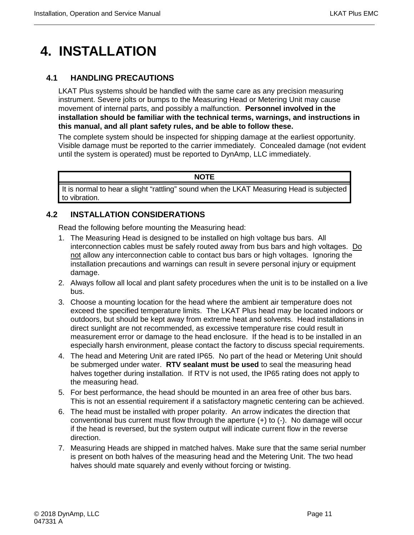# <span id="page-24-0"></span>**4. INSTALLATION**

### <span id="page-24-1"></span>**4.1 HANDLING PRECAUTIONS**

LKAT Plus systems should be handled with the same care as any precision measuring instrument. Severe jolts or bumps to the Measuring Head or Metering Unit may cause movement of internal parts, and possibly a malfunction. **Personnel involved in the installation should be familiar with the technical terms, warnings, and instructions in this manual, and all plant safety rules, and be able to follow these.**

The complete system should be inspected for shipping damage at the earliest opportunity. Visible damage must be reported to the carrier immediately. Concealed damage (not evident until the system is operated) must be reported to DynAmp, LLC immediately.

#### **NOTE**

It is normal to hear a slight "rattling" sound when the LKAT Measuring Head is subjected to vibration.

## <span id="page-24-2"></span>**4.2 INSTALLATION CONSIDERATIONS**

Read the following before mounting the Measuring head:

- 1. The Measuring Head is designed to be installed on high voltage bus bars. All interconnection cables must be safely routed away from bus bars and high voltages. Do not allow any interconnection cable to contact bus bars or high voltages. Ignoring the installation precautions and warnings can result in severe personal injury or equipment damage.
- 2. Always follow all local and plant safety procedures when the unit is to be installed on a live bus.
- 3. Choose a mounting location for the head where the ambient air temperature does not exceed the specified temperature limits. The LKAT Plus head may be located indoors or outdoors, but should be kept away from extreme heat and solvents. Head installations in direct sunlight are not recommended, as excessive temperature rise could result in measurement error or damage to the head enclosure. If the head is to be installed in an especially harsh environment, please contact the factory to discuss special requirements.
- 4. The head and Metering Unit are rated IP65. No part of the head or Metering Unit should be submerged under water. **RTV sealant must be used** to seal the measuring head halves together during installation. If RTV is not used, the IP65 rating does not apply to the measuring head.
- 5. For best performance, the head should be mounted in an area free of other bus bars. This is not an essential requirement if a satisfactory magnetic centering can be achieved.
- 6. The head must be installed with proper polarity. An arrow indicates the direction that conventional bus current must flow through the aperture (+) to (-). No damage will occur if the head is reversed, but the system output will indicate current flow in the reverse direction.
- 7. Measuring Heads are shipped in matched halves. Make sure that the same serial number is present on both halves of the measuring head and the Metering Unit. The two head halves should mate squarely and evenly without forcing or twisting.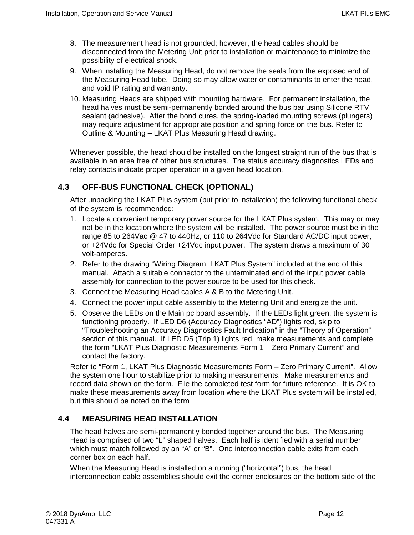- 8. The measurement head is not grounded; however, the head cables should be disconnected from the Metering Unit prior to installation or maintenance to minimize the possibility of electrical shock.
- 9. When installing the Measuring Head, do not remove the seals from the exposed end of the Measuring Head tube. Doing so may allow water or contaminants to enter the head, and void IP rating and warranty.
- 10. Measuring Heads are shipped with mounting hardware. For permanent installation, the head halves must be semi-permanently bonded around the bus bar using Silicone RTV sealant (adhesive). After the bond cures, the spring-loaded mounting screws (plungers) may require adjustment for appropriate position and spring force on the bus. Refer to Outline & Mounting – LKAT Plus Measuring Head drawing.

Whenever possible, the head should be installed on the longest straight run of the bus that is available in an area free of other bus structures. The status accuracy diagnostics LEDs and relay contacts indicate proper operation in a given head location.

#### <span id="page-25-0"></span>**4.3 OFF-BUS FUNCTIONAL CHECK (OPTIONAL)**

After unpacking the LKAT Plus system (but prior to installation) the following functional check of the system is recommended:

- 1. Locate a convenient temporary power source for the LKAT Plus system. This may or may not be in the location where the system will be installed. The power source must be in the range 85 to 264Vac @ 47 to 440Hz, or 110 to 264Vdc for Standard AC/DC input power, or +24Vdc for Special Order +24Vdc input power. The system draws a maximum of 30 volt-amperes.
- 2. Refer to the drawing "Wiring Diagram, LKAT Plus System" included at the end of this manual. Attach a suitable connector to the unterminated end of the input power cable assembly for connection to the power source to be used for this check.
- 3. Connect the Measuring Head cables A & B to the Metering Unit.
- 4. Connect the power input cable assembly to the Metering Unit and energize the unit.
- 5. Observe the LEDs on the Main pc board assembly. If the LEDs light green, the system is functioning properly. If LED D6 (Accuracy Diagnostics "AD") lights red, skip to "Troubleshooting an Accuracy Diagnostics Fault Indication" in the "Theory of Operation" section of this manual. If LED D5 (Trip 1) lights red, make measurements and complete the form "LKAT Plus Diagnostic Measurements Form 1 – Zero Primary Current" and contact the factory.

Refer to "Form 1, LKAT Plus Diagnostic Measurements Form – Zero Primary Current". Allow the system one hour to stabilize prior to making measurements. Make measurements and record data shown on the form. File the completed test form for future reference. It is OK to make these measurements away from location where the LKAT Plus system will be installed, but this should be noted on the form

#### <span id="page-25-1"></span>**4.4 MEASURING HEAD INSTALLATION**

The head halves are semi-permanently bonded together around the bus. The Measuring Head is comprised of two "L" shaped halves. Each half is identified with a serial number which must match followed by an "A" or "B". One interconnection cable exits from each corner box on each half.

When the Measuring Head is installed on a running ("horizontal") bus, the head interconnection cable assemblies should exit the corner enclosures on the bottom side of the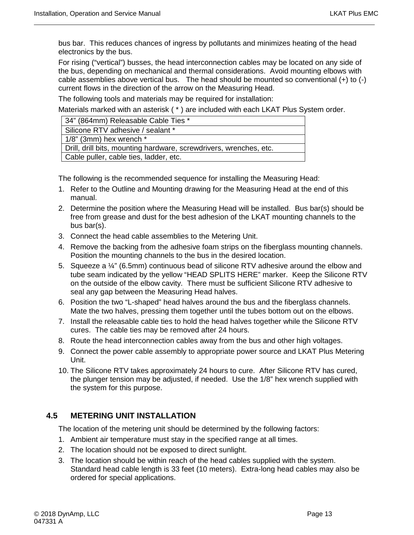bus bar. This reduces chances of ingress by pollutants and minimizes heating of the head electronics by the bus.

For rising ("vertical") busses, the head interconnection cables may be located on any side of the bus, depending on mechanical and thermal considerations. Avoid mounting elbows with cable assemblies above vertical bus. The head should be mounted so conventional (+) to (-) current flows in the direction of the arrow on the Measuring Head.

The following tools and materials may be required for installation:

Materials marked with an asterisk ( \* ) are included with each LKAT Plus System order.

| 34" (864mm) Releasable Cable Ties *                                |
|--------------------------------------------------------------------|
| Silicone RTV adhesive / sealant *                                  |
| $1/8$ " (3mm) hex wrench $*$                                       |
| Drill, drill bits, mounting hardware, screwdrivers, wrenches, etc. |
| Cable puller, cable ties, ladder, etc.                             |

The following is the recommended sequence for installing the Measuring Head:

- 1. Refer to the Outline and Mounting drawing for the Measuring Head at the end of this manual.
- 2. Determine the position where the Measuring Head will be installed. Bus bar(s) should be free from grease and dust for the best adhesion of the LKAT mounting channels to the bus bar(s).
- 3. Connect the head cable assemblies to the Metering Unit.
- 4. Remove the backing from the adhesive foam strips on the fiberglass mounting channels. Position the mounting channels to the bus in the desired location.
- 5. Squeeze a ¼" (6.5mm) continuous bead of silicone RTV adhesive around the elbow and tube seam indicated by the yellow "HEAD SPLITS HERE" marker. Keep the Silicone RTV on the outside of the elbow cavity. There must be sufficient Silicone RTV adhesive to seal any gap between the Measuring Head halves.
- 6. Position the two "L-shaped" head halves around the bus and the fiberglass channels. Mate the two halves, pressing them together until the tubes bottom out on the elbows.
- 7. Install the releasable cable ties to hold the head halves together while the Silicone RTV cures. The cable ties may be removed after 24 hours.
- 8. Route the head interconnection cables away from the bus and other high voltages.
- 9. Connect the power cable assembly to appropriate power source and LKAT Plus Metering Unit.
- 10. The Silicone RTV takes approximately 24 hours to cure. After Silicone RTV has cured, the plunger tension may be adjusted, if needed. Use the 1/8" hex wrench supplied with the system for this purpose.

### <span id="page-26-0"></span>**4.5 METERING UNIT INSTALLATION**

The location of the metering unit should be determined by the following factors:

- 1. Ambient air temperature must stay in the specified range at all times.
- 2. The location should not be exposed to direct sunlight.
- 3. The location should be within reach of the head cables supplied with the system. Standard head cable length is 33 feet (10 meters). Extra-long head cables may also be ordered for special applications.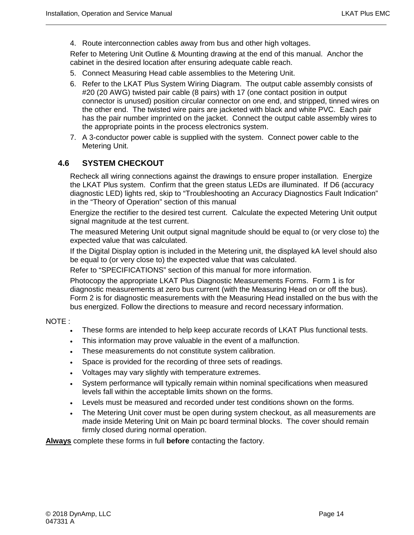4. Route interconnection cables away from bus and other high voltages.

Refer to Metering Unit Outline & Mounting drawing at the end of this manual. Anchor the cabinet in the desired location after ensuring adequate cable reach.

- 5. Connect Measuring Head cable assemblies to the Metering Unit.
- 6. Refer to the LKAT Plus System Wiring Diagram. The output cable assembly consists of #20 (20 AWG) twisted pair cable (8 pairs) with 17 (one contact position in output connector is unused) position circular connector on one end, and stripped, tinned wires on the other end. The twisted wire pairs are jacketed with black and white PVC. Each pair has the pair number imprinted on the jacket. Connect the output cable assembly wires to the appropriate points in the process electronics system.
- 7. A 3-conductor power cable is supplied with the system. Connect power cable to the Metering Unit.

#### <span id="page-27-0"></span>**4.6 SYSTEM CHECKOUT**

Recheck all wiring connections against the drawings to ensure proper installation. Energize the LKAT Plus system. Confirm that the green status LEDs are illuminated. If D6 (accuracy diagnostic LED) lights red, skip to "Troubleshooting an Accuracy Diagnostics Fault Indication" in the "Theory of Operation" section of this manual

Energize the rectifier to the desired test current. Calculate the expected Metering Unit output signal magnitude at the test current.

The measured Metering Unit output signal magnitude should be equal to (or very close to) the expected value that was calculated.

If the Digital Display option is included in the Metering unit, the displayed kA level should also be equal to (or very close to) the expected value that was calculated.

Refer to "SPECIFICATIONS" section of this manual for more information.

Photocopy the appropriate LKAT Plus Diagnostic Measurements Forms. Form 1 is for diagnostic measurements at zero bus current (with the Measuring Head on or off the bus). Form 2 is for diagnostic measurements with the Measuring Head installed on the bus with the bus energized. Follow the directions to measure and record necessary information.

#### NOTE :

- These forms are intended to help keep accurate records of LKAT Plus functional tests.
- This information may prove valuable in the event of a malfunction.
- These measurements do not constitute system calibration.
- Space is provided for the recording of three sets of readings.
- Voltages may vary slightly with temperature extremes.
- System performance will typically remain within nominal specifications when measured levels fall within the acceptable limits shown on the forms.
- Levels must be measured and recorded under test conditions shown on the forms.
- The Metering Unit cover must be open during system checkout, as all measurements are made inside Metering Unit on Main pc board terminal blocks. The cover should remain firmly closed during normal operation.

**Always** complete these forms in full **before** contacting the factory.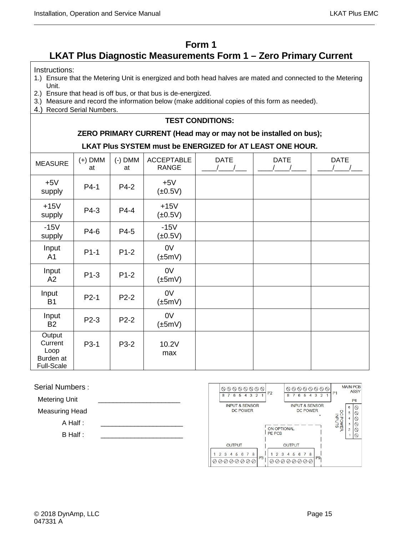## **Form 1**

# <span id="page-28-0"></span>**LKAT Plus Diagnostic Measurements Form 1 – Zero Primary Current**

#### Instructions:

- 1.) Ensure that the Metering Unit is energized and both head halves are mated and connected to the Metering Unit.
- 2.) Ensure that head is off bus, or that bus is de-energized.
- 3.) Measure and record the information below (make additional copies of this form as needed).
- 4.) Record Serial Numbers.

#### **TEST CONDITIONS:**

#### **ZERO PRIMARY CURRENT (Head may or may not be installed on bus);**

#### **LKAT Plus SYSTEM must be ENERGIZED for AT LEAST ONE HOUR.**

| <b>MEASURE</b>                                              | $(+)$ DMM<br>at | $(-)$ DMM<br>at | <b>ACCEPTABLE</b><br><b>RANGE</b> | <b>DATE</b> | <b>DATE</b> | <b>DATE</b> |
|-------------------------------------------------------------|-----------------|-----------------|-----------------------------------|-------------|-------------|-------------|
| $+5V$<br>supply                                             | $P4-1$          | P4-2            | $+5V$<br>$(\pm 0.5V)$             |             |             |             |
| $+15V$<br>supply                                            | P4-3            | P4-4            | $+15V$<br>$(\pm 0.5V)$            |             |             |             |
| $-15V$<br>supply                                            | P4-6            | P4-5            | $-15V$<br>$(\pm 0.5V)$            |             |             |             |
| Input<br>A <sub>1</sub>                                     | $P1-1$          | $P1-2$          | 0V<br>$(\pm 5mV)$                 |             |             |             |
| Input<br>A2                                                 | $P1-3$          | $P1-2$          | 0V<br>$(\pm 5mV)$                 |             |             |             |
| Input<br><b>B1</b>                                          | $P2-1$          | $P2-2$          | 0V<br>$(\pm 5mV)$                 |             |             |             |
| Input<br><b>B2</b>                                          | P2-3            | $P2-2$          | 0V<br>$(\pm 5mV)$                 |             |             |             |
| Output<br>Current<br>Loop<br>Burden at<br><b>Full-Scale</b> | P3-1            | P3-2            | 10.2V<br>max                      |             |             |             |

#### Serial Numbers :

Metering Unit

Measuring Head

 $A$  Half :

B Half :

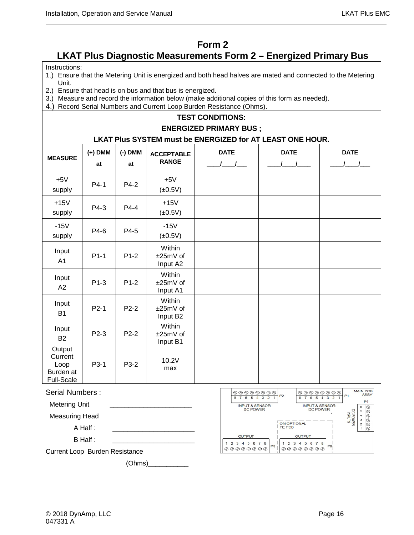## **Form 2**

## <span id="page-29-0"></span>**LKAT Plus Diagnostic Measurements Form 2 – Energized Primary Bus**

Instructions:

- 1.) Ensure that the Metering Unit is energized and both head halves are mated and connected to the Metering Unit.
- 2.) Ensure that head is on bus and that bus is energized.
- 3.) Measure and record the information below (make additional copies of this form as needed).
- 4.) Record Serial Numbers and Current Loop Burden Resistance (Ohms).

#### **TEST CONDITIONS:**

#### **ENERGIZED PRIMARY BUS ;**

#### **LKAT Plus SYSTEM must be ENERGIZED for AT LEAST ONE HOUR.**

| <b>MEASURE</b>                                       | $(+)$ DMM<br>at | $(-)$ DMM<br>at | <b>ACCEPTABLE</b><br><b>RANGE</b> | <b>DATE</b><br>$\frac{1}{2}$ | <b>DATE</b> | <b>DATE</b> |
|------------------------------------------------------|-----------------|-----------------|-----------------------------------|------------------------------|-------------|-------------|
| $+5V$<br>supply                                      | $P4-1$          | P4-2            | $+5V$<br>$(\pm 0.5V)$             |                              |             |             |
| $+15V$<br>supply                                     | P4-3            | $P4-4$          | $+15V$<br>$(\pm 0.5V)$            |                              |             |             |
| $-15V$<br>supply                                     | P4-6            | P4-5            | $-15V$<br>$(\pm 0.5V)$            |                              |             |             |
| Input<br>A <sub>1</sub>                              | $P1-1$          | $P1-2$          | Within<br>±25mV of<br>Input A2    |                              |             |             |
| Input<br>A2                                          | $P1-3$          | $P1-2$          | Within<br>±25mV of<br>Input A1    |                              |             |             |
| Input<br><b>B1</b>                                   | $P2-1$          | $P2-2$          | Within<br>±25mV of<br>Input B2    |                              |             |             |
| Input<br><b>B2</b>                                   | P2-3            | P2-2            | Within<br>±25mV of<br>Input B1    |                              |             |             |
| Output<br>Current<br>Loop<br>Burden at<br>Full-Scale | P3-1            | P3-2            | 10.2V<br>max                      |                              |             |             |

Serial Numbers :

Metering Unit Measuring Head A Half : B Half :



Current Loop Burden Resistance

(Ohms)\_\_\_\_\_\_\_\_\_\_\_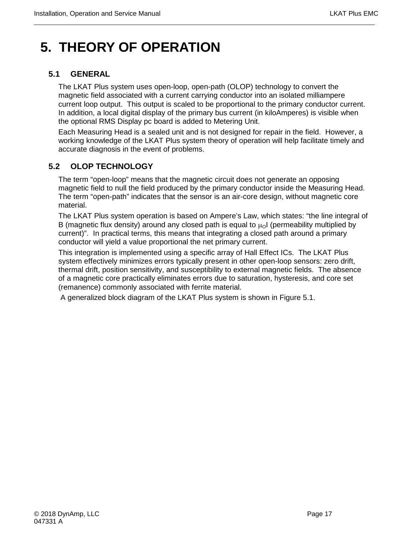# <span id="page-30-0"></span>**5. THEORY OF OPERATION**

## <span id="page-30-1"></span>**5.1 GENERAL**

The LKAT Plus system uses open-loop, open-path (OLOP) technology to convert the magnetic field associated with a current carrying conductor into an isolated milliampere current loop output. This output is scaled to be proportional to the primary conductor current. In addition, a local digital display of the primary bus current (in kiloAmperes) is visible when the optional RMS Display pc board is added to Metering Unit.

Each Measuring Head is a sealed unit and is not designed for repair in the field. However, a working knowledge of the LKAT Plus system theory of operation will help facilitate timely and accurate diagnosis in the event of problems.

## <span id="page-30-2"></span>**5.2 OLOP TECHNOLOGY**

The term "open-loop" means that the magnetic circuit does not generate an opposing magnetic field to null the field produced by the primary conductor inside the Measuring Head. The term "open-path" indicates that the sensor is an air-core design, without magnetic core material.

The LKAT Plus system operation is based on Ampere's Law, which states: "the line integral of B (magnetic flux density) around any closed path is equal to  $\mu_0$  (permeability multiplied by current)". In practical terms, this means that integrating a closed path around a primary conductor will yield a value proportional the net primary current.

This integration is implemented using a specific array of Hall Effect ICs. The LKAT Plus system effectively minimizes errors typically present in other open-loop sensors: zero drift, thermal drift, position sensitivity, and susceptibility to external magnetic fields. The absence of a magnetic core practically eliminates errors due to saturation, hysteresis, and core set (remanence) commonly associated with ferrite material.

A generalized block diagram of the LKAT Plus system is shown in Figure 5.1.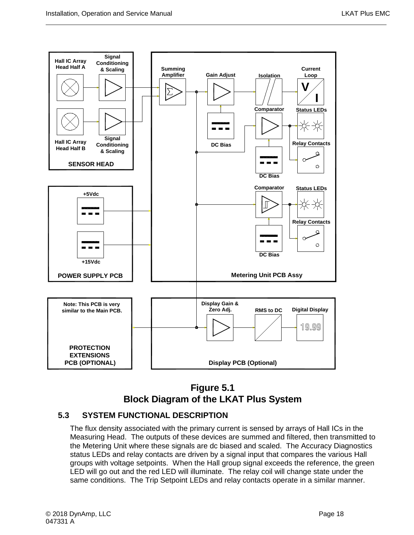

# **Figure 5.1 Block Diagram of the LKAT Plus System**

### <span id="page-31-1"></span><span id="page-31-0"></span>**5.3 SYSTEM FUNCTIONAL DESCRIPTION**

The flux density associated with the primary current is sensed by arrays of Hall ICs in the Measuring Head. The outputs of these devices are summed and filtered, then transmitted to the Metering Unit where these signals are dc biased and scaled. The Accuracy Diagnostics status LEDs and relay contacts are driven by a signal input that compares the various Hall groups with voltage setpoints. When the Hall group signal exceeds the reference, the green LED will go out and the red LED will illuminate. The relay coil will change state under the same conditions. The Trip Setpoint LEDs and relay contacts operate in a similar manner.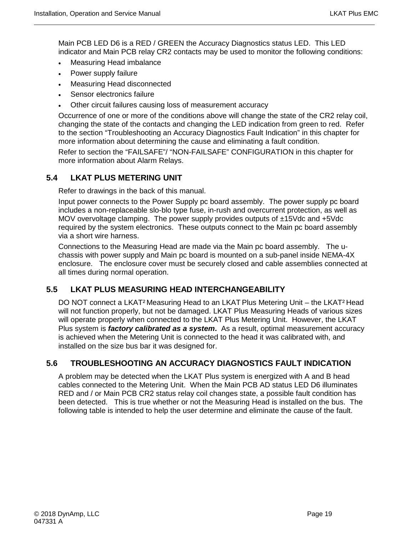Main PCB LED D6 is a RED / GREEN the Accuracy Diagnostics status LED. This LED indicator and Main PCB relay CR2 contacts may be used to monitor the following conditions:

- Measuring Head imbalance
- Power supply failure
- Measuring Head disconnected
- Sensor electronics failure
- Other circuit failures causing loss of measurement accuracy

Occurrence of one or more of the conditions above will change the state of the CR2 relay coil, changing the state of the contacts and changing the LED indication from green to red. Refer to the section "Troubleshooting an Accuracy Diagnostics Fault Indication" in this chapter for more information about determining the cause and eliminating a fault condition.

Refer to section the "FAILSAFE"/ "NON-FAILSAFE" CONFIGURATION in this chapter for more information about Alarm Relays.

#### <span id="page-32-0"></span>**5.4 LKAT PLUS METERING UNIT**

Refer to drawings in the back of this manual.

Input power connects to the Power Supply pc board assembly. The power supply pc board includes a non-replaceable slo-blo type fuse, in-rush and overcurrent protection, as well as MOV overvoltage clamping. The power supply provides outputs of ±15Vdc and +5Vdc required by the system electronics. These outputs connect to the Main pc board assembly via a short wire harness.

Connections to the Measuring Head are made via the Main pc board assembly. The uchassis with power supply and Main pc board is mounted on a sub-panel inside NEMA-4X enclosure. The enclosure cover must be securely closed and cable assemblies connected at all times during normal operation.

#### <span id="page-32-1"></span>**5.5 LKAT PLUS MEASURING HEAD INTERCHANGEABILITY**

DO NOT connect a LKAT² Measuring Head to an LKAT Plus Metering Unit – the LKAT² Head will not function properly, but not be damaged. LKAT Plus Measuring Heads of various sizes will operate properly when connected to the LKAT Plus Metering Unit. However, the LKAT Plus system is *factory calibrated as a system***.** As a result, optimal measurement accuracy is achieved when the Metering Unit is connected to the head it was calibrated with, and installed on the size bus bar it was designed for.

#### <span id="page-32-2"></span>**5.6 TROUBLESHOOTING AN ACCURACY DIAGNOSTICS FAULT INDICATION**

A problem may be detected when the LKAT Plus system is energized with A and B head cables connected to the Metering Unit. When the Main PCB AD status LED D6 illuminates RED and / or Main PCB CR2 status relay coil changes state, a possible fault condition has been detected. This is true whether or not the Measuring Head is installed on the bus. The following table is intended to help the user determine and eliminate the cause of the fault.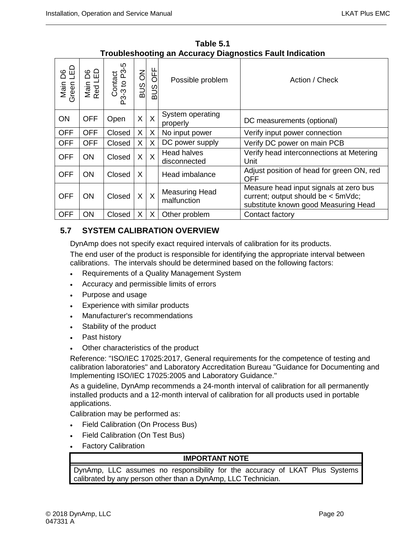| Table 5.1                                                       |  |  |  |  |  |
|-----------------------------------------------------------------|--|--|--|--|--|
| <b>Troubleshooting an Accuracy Diagnostics Fault Indication</b> |  |  |  |  |  |

<span id="page-33-1"></span>

| <b>G</b> E<br>മ<br>Main<br>Green | 읍<br>8<br>Main<br>Red L | Contact<br>P3-3 to P3-5 | <b>BUS ON</b> | OFF<br><b>SUB</b> | Possible problem                     | Action / Check                                                                                                       |
|----------------------------------|-------------------------|-------------------------|---------------|-------------------|--------------------------------------|----------------------------------------------------------------------------------------------------------------------|
| <b>ON</b>                        | <b>OFF</b>              | Open                    | $\sf X$       | X                 | System operating<br>properly         | DC measurements (optional)                                                                                           |
| <b>OFF</b>                       | <b>OFF</b>              | Closed                  | X             | X                 | No input power                       | Verify input power connection                                                                                        |
| <b>OFF</b>                       | <b>OFF</b>              | Closed                  | X             | X.                | DC power supply                      | Verify DC power on main PCB                                                                                          |
| <b>OFF</b>                       | <b>ON</b>               | Closed                  | $\sf X$       | X                 | <b>Head halves</b><br>disconnected   | Verify head interconnections at Metering<br>Unit                                                                     |
| <b>OFF</b>                       | <b>ON</b>               | Closed                  | $\mathsf{X}$  |                   | Head imbalance                       | Adjust position of head for green ON, red<br><b>OFF</b>                                                              |
| <b>OFF</b>                       | <b>ON</b>               | Closed                  | $\sf X$       | $\mathsf{X}$      | <b>Measuring Head</b><br>malfunction | Measure head input signals at zero bus<br>current; output should be < 5mVdc;<br>substitute known good Measuring Head |
| <b>OFF</b>                       | ΟN                      | Closed                  | X             | X                 | Other problem                        | Contact factory                                                                                                      |

## <span id="page-33-0"></span>**5.7 SYSTEM CALIBRATION OVERVIEW**

DynAmp does not specify exact required intervals of calibration for its products.

The end user of the product is responsible for identifying the appropriate interval between calibrations. The intervals should be determined based on the following factors:

- Requirements of a Quality Management System
- Accuracy and permissible limits of errors
- Purpose and usage
- Experience with similar products
- Manufacturer's recommendations
- Stability of the product
- Past history
- Other characteristics of the product

Reference: "ISO/IEC 17025:2017, General requirements for the competence of testing and calibration laboratories" and Laboratory Accreditation Bureau "Guidance for Documenting and Implementing ISO/IEC 17025:2005 and Laboratory Guidance."

As a guideline, DynAmp recommends a 24-month interval of calibration for all permanently installed products and a 12-month interval of calibration for all products used in portable applications.

Calibration may be performed as:

- Field Calibration (On Process Bus)
- Field Calibration (On Test Bus)
- **Factory Calibration**

#### **IMPORTANT NOTE**

DynAmp, LLC assumes no responsibility for the accuracy of LKAT Plus Systems calibrated by any person other than a DynAmp, LLC Technician.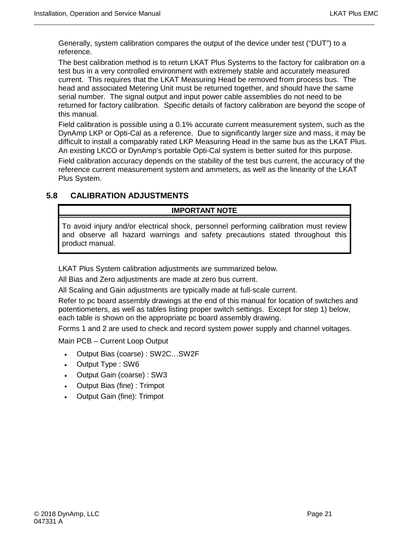Generally, system calibration compares the output of the device under test ("DUT") to a reference.

The best calibration method is to return LKAT Plus Systems to the factory for calibration on a test bus in a very controlled environment with extremely stable and accurately measured current. This requires that the LKAT Measuring Head be removed from process bus. The head and associated Metering Unit must be returned together, and should have the same serial number. The signal output and input power cable assemblies do not need to be returned for factory calibration. Specific details of factory calibration are beyond the scope of this manual.

Field calibration is possible using a 0.1% accurate current measurement system, such as the DynAmp LKP or Opti-Cal as a reference. Due to significantly larger size and mass, it may be difficult to install a comparably rated LKP Measuring Head in the same bus as the LKAT Plus. An existing LKCO or DynAmp's portable Opti-Cal system is better suited for this purpose.

Field calibration accuracy depends on the stability of the test bus current, the accuracy of the reference current measurement system and ammeters, as well as the linearity of the LKAT Plus System.

#### <span id="page-34-0"></span>**5.8 CALIBRATION ADJUSTMENTS**

#### **IMPORTANT NOTE**

To avoid injury and/or electrical shock, personnel performing calibration must review and observe all hazard warnings and safety precautions stated throughout this product manual.

LKAT Plus System calibration adjustments are summarized below.

All Bias and Zero adjustments are made at zero bus current.

All Scaling and Gain adjustments are typically made at full-scale current.

Refer to pc board assembly drawings at the end of this manual for location of switches and potentiometers, as well as tables listing proper switch settings. Except for step 1) below, each table is shown on the appropriate pc board assembly drawing.

Forms 1 and 2 are used to check and record system power supply and channel voltages.

Main PCB – Current Loop Output

- Output Bias (coarse) : SW2C…SW2F
- Output Type : SW6
- Output Gain (coarse) : SW3
- Output Bias (fine) : Trimpot
- Output Gain (fine): Trimpot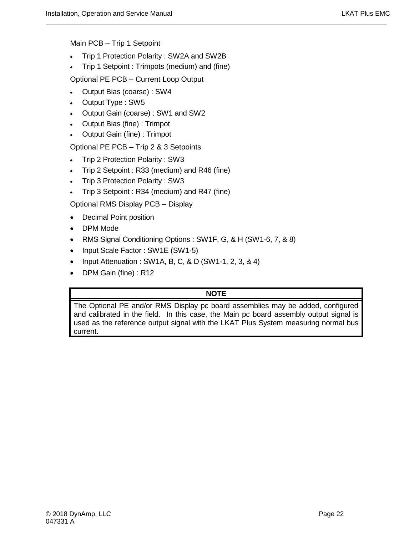Main PCB – Trip 1 Setpoint

- Trip 1 Protection Polarity : SW2A and SW2B
- Trip 1 Setpoint : Trimpots (medium) and (fine)

Optional PE PCB – Current Loop Output

- Output Bias (coarse) : SW4
- Output Type : SW5
- Output Gain (coarse) : SW1 and SW2
- Output Bias (fine) : Trimpot
- Output Gain (fine) : Trimpot

Optional PE PCB – Trip 2 & 3 Setpoints

- Trip 2 Protection Polarity : SW3
- Trip 2 Setpoint : R33 (medium) and R46 (fine)
- Trip 3 Protection Polarity : SW3
- Trip 3 Setpoint : R34 (medium) and R47 (fine)

Optional RMS Display PCB – Display

- Decimal Point position
- DPM Mode
- RMS Signal Conditioning Options : SW1F, G, & H (SW1-6, 7, & 8)
- Input Scale Factor : SW1E (SW1-5)
- Input Attenuation : SW1A, B, C, & D (SW1-1, 2, 3, & 4)
- DPM Gain (fine) : R12

#### **NOTE**

The Optional PE and/or RMS Display pc board assemblies may be added, configured and calibrated in the field. In this case, the Main pc board assembly output signal is used as the reference output signal with the LKAT Plus System measuring normal bus current.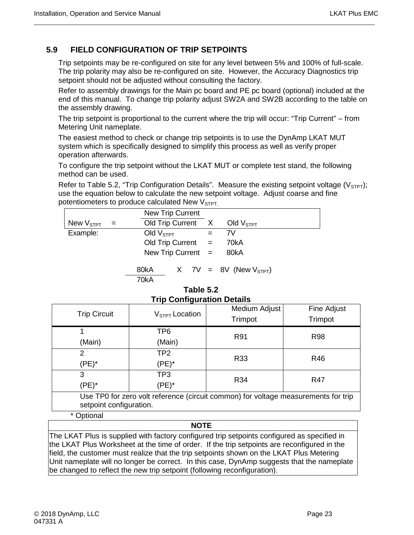## <span id="page-36-0"></span>**5.9 FIELD CONFIGURATION OF TRIP SETPOINTS**

Trip setpoints may be re-configured on site for any level between 5% and 100% of full-scale. The trip polarity may also be re-configured on site. However, the Accuracy Diagnostics trip setpoint should not be adjusted without consulting the factory.

Refer to assembly drawings for the Main pc board and PE pc board (optional) included at the end of this manual. To change trip polarity adjust SW2A and SW2B according to the table on the assembly drawing.

The trip setpoint is proportional to the current where the trip will occur: "Trip Current" – from Metering Unit nameplate.

The easiest method to check or change trip setpoints is to use the DynAmp LKAT MUT system which is specifically designed to simplify this process as well as verify proper operation afterwards.

To configure the trip setpoint without the LKAT MUT or complete test stand, the following method can be used.

Refer to Table 5.2, "Trip Configuration Details". Measure the existing setpoint voltage ( $V_{STPT}$ ); use the equation below to calculate the new setpoint voltage. Adjust coarse and fine potentiometers to produce calculated New  $V<sub>STPT</sub>$ .

|                                |     | New Trip Current     |  |     |                               |  |
|--------------------------------|-----|----------------------|--|-----|-------------------------------|--|
| New $\mathsf{V}_{\text{STPT}}$ | $=$ | Old Trip Current     |  |     | $X$ Old $VSTPT$               |  |
| Example:                       |     | Old $VSTPT$          |  | $=$ | 7V                            |  |
|                                |     | Old Trip Current $=$ |  |     | 70kA                          |  |
|                                |     | New Trip Current $=$ |  |     | 80kA                          |  |
|                                |     | 80kA<br>70kA         |  |     | $X$ 7V = 8V (New $V_{STPT}$ ) |  |

| Table 5.2                         |  |
|-----------------------------------|--|
| <b>Trip Configuration Details</b> |  |

<span id="page-36-1"></span>

| $1.1.6$ vol.1.1.9 at all of 1.1 boland                                                                        |                  |               |             |  |  |  |
|---------------------------------------------------------------------------------------------------------------|------------------|---------------|-------------|--|--|--|
| <b>Trip Circuit</b>                                                                                           | $VSTPT$ Location | Medium Adjust | Fine Adjust |  |  |  |
|                                                                                                               |                  | Trimpot       | Trimpot     |  |  |  |
|                                                                                                               | TP6              | R91           | <b>R98</b>  |  |  |  |
| (Main)                                                                                                        | (Main)           |               |             |  |  |  |
| 2                                                                                                             | TP <sub>2</sub>  | R33           | <b>R46</b>  |  |  |  |
| (PE)*                                                                                                         | $(PE)^*$         |               |             |  |  |  |
| 3                                                                                                             | TP3              | R34           | R47         |  |  |  |
| $(PE)^*$                                                                                                      | $(PE)^*$         |               |             |  |  |  |
| Use TP0 for zero volt reference (circuit common) for voltage measurements for trip<br>setpoint configuration. |                  |               |             |  |  |  |
|                                                                                                               |                  |               |             |  |  |  |

\* Optional

#### **NOTE**

The LKAT Plus is supplied with factory configured trip setpoints configured as specified in the LKAT Plus Worksheet at the time of order. If the trip setpoints are reconfigured in the field, the customer must realize that the trip setpoints shown on the LKAT Plus Metering Unit nameplate will no longer be correct. In this case, DynAmp suggests that the nameplate be changed to reflect the new trip setpoint (following reconfiguration).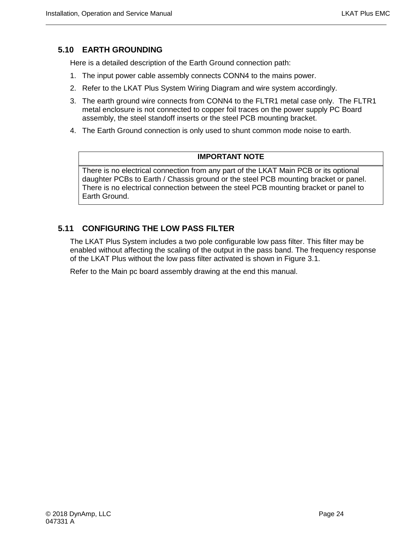#### <span id="page-37-0"></span>**5.10 EARTH GROUNDING**

Here is a detailed description of the Earth Ground connection path:

- 1. The input power cable assembly connects CONN4 to the mains power.
- 2. Refer to the LKAT Plus System Wiring Diagram and wire system accordingly.
- 3. The earth ground wire connects from CONN4 to the FLTR1 metal case only. The FLTR1 metal enclosure is not connected to copper foil traces on the power supply PC Board assembly, the steel standoff inserts or the steel PCB mounting bracket.
- 4. The Earth Ground connection is only used to shunt common mode noise to earth.

#### **IMPORTANT NOTE**

There is no electrical connection from any part of the LKAT Main PCB or its optional daughter PCBs to Earth / Chassis ground or the steel PCB mounting bracket or panel. There is no electrical connection between the steel PCB mounting bracket or panel to Earth Ground.

#### <span id="page-37-1"></span>**5.11 CONFIGURING THE LOW PASS FILTER**

The LKAT Plus System includes a two pole configurable low pass filter. This filter may be enabled without affecting the scaling of the output in the pass band. The frequency response of the LKAT Plus without the low pass filter activated is shown in Figure 3.1.

Refer to the Main pc board assembly drawing at the end this manual.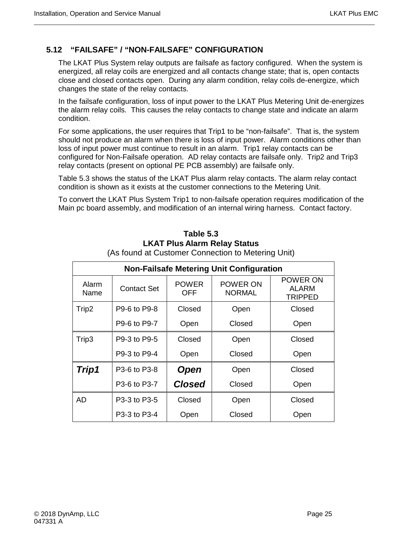### <span id="page-38-0"></span>**5.12 "FAILSAFE" / "NON-FAILSAFE" CONFIGURATION**

The LKAT Plus System relay outputs are failsafe as factory configured. When the system is energized, all relay coils are energized and all contacts change state; that is, open contacts close and closed contacts open. During any alarm condition, relay coils de-energize, which changes the state of the relay contacts.

In the failsafe configuration, loss of input power to the LKAT Plus Metering Unit de-energizes the alarm relay coils. This causes the relay contacts to change state and indicate an alarm condition.

For some applications, the user requires that Trip1 to be "non-failsafe". That is, the system should not produce an alarm when there is loss of input power. Alarm conditions other than loss of input power must continue to result in an alarm. Trip1 relay contacts can be configured for Non-Failsafe operation. AD relay contacts are failsafe only. Trip2 and Trip3 relay contacts (present on optional PE PCB assembly) are failsafe only.

Table 5.3 shows the status of the LKAT Plus alarm relay contacts. The alarm relay contact condition is shown as it exists at the customer connections to the Metering Unit.

<span id="page-38-1"></span>To convert the LKAT Plus System Trip1 to non-failsafe operation requires modification of the Main pc board assembly, and modification of an internal wiring harness. Contact factory.

| <b>Non-Failsafe Metering Unit Configuration</b> |              |                            |                           |                                            |  |  |  |
|-------------------------------------------------|--------------|----------------------------|---------------------------|--------------------------------------------|--|--|--|
| Alarm<br>Name                                   | Contact Set  | <b>POWER</b><br><b>OFF</b> | POWER ON<br><b>NORMAL</b> | POWER ON<br><b>ALARM</b><br><b>TRIPPED</b> |  |  |  |
| Trip2                                           | P9-6 to P9-8 | Closed                     | Open                      | Closed                                     |  |  |  |
|                                                 | P9-6 to P9-7 | Open                       | Closed                    | Open                                       |  |  |  |
| Trip3                                           | P9-3 to P9-5 | Closed                     | Open                      | Closed                                     |  |  |  |
|                                                 | P9-3 to P9-4 | Open                       | Closed                    | Open                                       |  |  |  |
| Trip1                                           | P3-6 to P3-8 | <b>Open</b>                | Open                      | Closed                                     |  |  |  |
|                                                 | P3-6 to P3-7 | <b>Closed</b>              | Closed                    | Open                                       |  |  |  |
| <b>AD</b>                                       | P3-3 to P3-5 | Closed                     | Open                      | Closed                                     |  |  |  |
|                                                 | P3-3 to P3-4 | Open                       | Closed                    | Open                                       |  |  |  |

# **Table 5.3 LKAT Plus Alarm Relay Status**

(As found at Customer Connection to Metering Unit)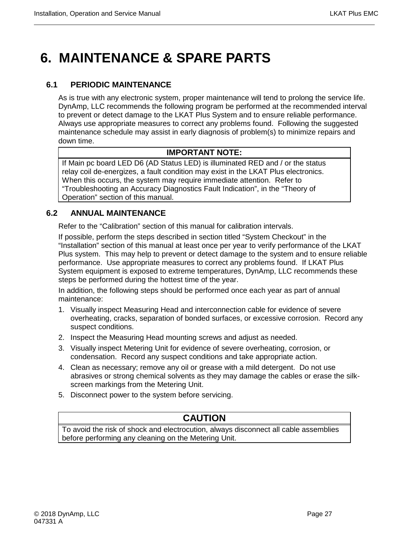# <span id="page-40-0"></span>**6. MAINTENANCE & SPARE PARTS**

### <span id="page-40-1"></span>**6.1 PERIODIC MAINTENANCE**

As is true with any electronic system, proper maintenance will tend to prolong the service life. DynAmp, LLC recommends the following program be performed at the recommended interval to prevent or detect damage to the LKAT Plus System and to ensure reliable performance. Always use appropriate measures to correct any problems found. Following the suggested maintenance schedule may assist in early diagnosis of problem(s) to minimize repairs and down time.

#### **IMPORTANT NOTE:**

If Main pc board LED D6 (AD Status LED) is illuminated RED and / or the status relay coil de-energizes, a fault condition may exist in the LKAT Plus electronics. When this occurs, the system may require immediate attention. Refer to "Troubleshooting an Accuracy Diagnostics Fault Indication", in the "Theory of Operation" section of this manual.

#### <span id="page-40-2"></span>**6.2 ANNUAL MAINTENANCE**

Refer to the "Calibration" section of this manual for calibration intervals.

If possible, perform the steps described in section titled "System Checkout" in the "Installation" section of this manual at least once per year to verify performance of the LKAT Plus system. This may help to prevent or detect damage to the system and to ensure reliable performance. Use appropriate measures to correct any problems found. If LKAT Plus System equipment is exposed to extreme temperatures, DynAmp, LLC recommends these steps be performed during the hottest time of the year.

In addition, the following steps should be performed once each year as part of annual maintenance:

- 1. Visually inspect Measuring Head and interconnection cable for evidence of severe overheating, cracks, separation of bonded surfaces, or excessive corrosion. Record any suspect conditions.
- 2. Inspect the Measuring Head mounting screws and adjust as needed.
- 3. Visually inspect Metering Unit for evidence of severe overheating, corrosion, or condensation. Record any suspect conditions and take appropriate action.
- 4. Clean as necessary; remove any oil or grease with a mild detergent. Do not use abrasives or strong chemical solvents as they may damage the cables or erase the silkscreen markings from the Metering Unit.
- 5. Disconnect power to the system before servicing.

# **CAUTION**

<span id="page-40-3"></span>To avoid the risk of shock and electrocution, always disconnect all cable assemblies before performing any cleaning on the Metering Unit.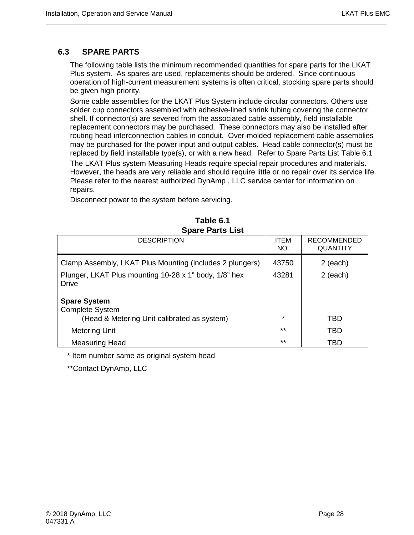### **6.3 SPARE PARTS**

The following table lists the minimum recommended quantities for spare parts for the LKAT Plus system. As spares are used, replacements should be ordered. Since continuous operation of high-current measurement systems is often critical, stocking spare parts should be given high priority.

Some cable assemblies for the LKAT Plus System include circular connectors. Others use solder cup connectors assembled with adhesive-lined shrink tubing covering the connector shell. If connector(s) are severed from the associated cable assembly, field installable replacement connectors may be purchased. These connectors may also be installed after routing head interconnection cables in conduit. Over-molded replacement cable assemblies may be purchased for the power input and output cables. Head cable connector(s) must be replaced by field installable type(s), or with a new head. Refer to Spare Parts List Table 6.1

The LKAT Plus system Measuring Heads require special repair procedures and materials. However, the heads are very reliable and should require little or no repair over its service life. Please refer to the nearest authorized DynAmp , LLC service center for information on repairs.

Disconnect power to the system before servicing.

<span id="page-41-0"></span>

| <b>DESCRIPTION</b>                                                    | <b>ITEM</b><br>NO. | <b>RECOMMENDED</b><br><b>QUANTITY</b> |
|-----------------------------------------------------------------------|--------------------|---------------------------------------|
| Clamp Assembly, LKAT Plus Mounting (includes 2 plungers)              | 43750              | $2$ (each)                            |
| Plunger, LKAT Plus mounting 10-28 x 1" body, 1/8" hex<br><b>Drive</b> | 43281              | $2$ (each)                            |
| <b>Spare System</b><br><b>Complete System</b>                         |                    |                                       |
| (Head & Metering Unit calibrated as system)                           | $\star$            | TBD                                   |
| Metering Unit                                                         | $***$              | TBD                                   |
| <b>Measuring Head</b>                                                 | $***$              | TBD                                   |

**Table 6.1 Spare Parts List**

\* Item number same as original system head

\*\*Contact DynAmp, LLC